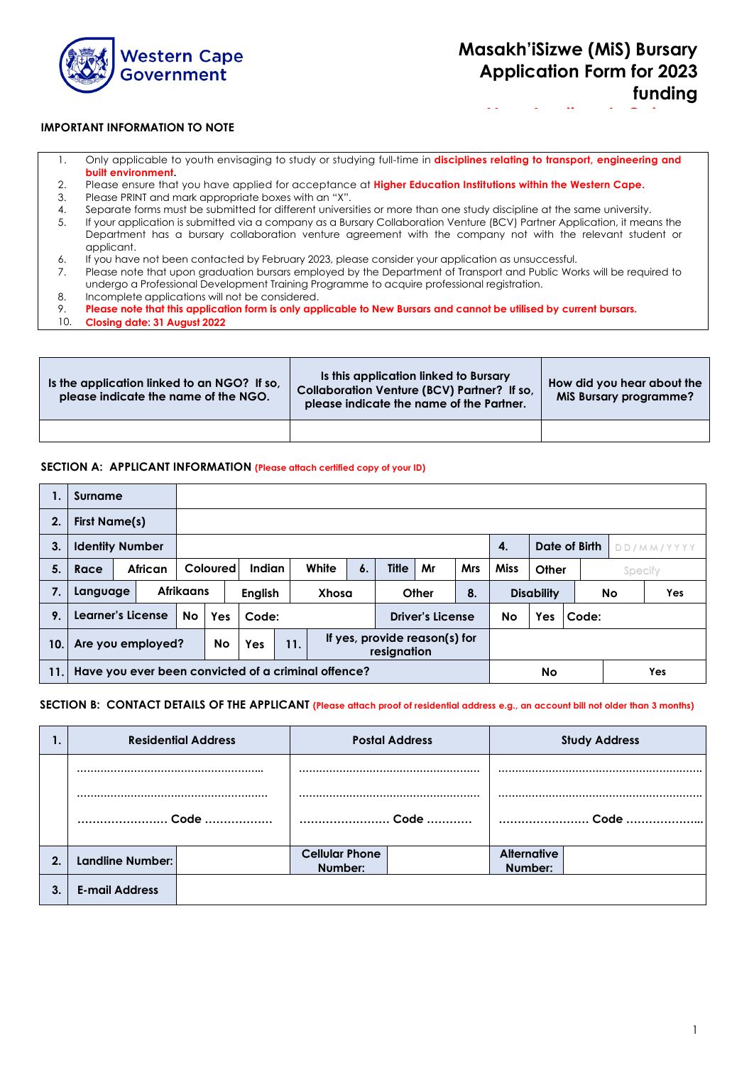

**New Applicants Only**

#### **IMPORTANT INFORMATION TO NOTE**

- 1. Only applicable to youth envisaging to study or studying full-time in **disciplines relating to transport, engineering and built environment.**
- 2. Please ensure that you have applied for acceptance at **Higher Education Institutions within the Western Cape.**
- 3. Please PRINT and mark appropriate boxes with an "X".
- 4. Separate forms must be submitted for different universities or more than one study discipline at the same university.
- 5. If your application is submitted via a company as a Bursary Collaboration Venture (BCV) Partner Application, it means the Department has a bursary collaboration venture agreement with the company not with the relevant student or applicant.
- 6. If you have not been contacted by February 2023, please consider your application as unsuccessful.
- 7. Please note that upon graduation bursars employed by the Department of Transport and Public Works will be required to undergo a Professional Development Training Programme to acquire professional registration.
- 8. Incomplete applications will not be considered.<br>9. Please note that this application form is only app
- 9. **Please note that this application form is only applicable to New Bursars and cannot be utilised by current bursars.**
- 10. **Closing date: 31 August 2022**

| Is the application linked to an NGO? If so,<br>please indicate the name of the NGO. | Is this application linked to Bursary<br>Collaboration Venture (BCV) Partner? If so,<br>please indicate the name of the Partner. | How did you hear about the<br><b>MiS Bursary programme?</b> |
|-------------------------------------------------------------------------------------|----------------------------------------------------------------------------------------------------------------------------------|-------------------------------------------------------------|
|                                                                                     |                                                                                                                                  |                                                             |

#### **SECTION A: APPLICANT INFORMATION (Please attach certified copy of your ID)**

|     | Surname                |                                                     |         |                  |          |                |     |       |                                              |              |                         |            |             |                   |       |    |            |  |
|-----|------------------------|-----------------------------------------------------|---------|------------------|----------|----------------|-----|-------|----------------------------------------------|--------------|-------------------------|------------|-------------|-------------------|-------|----|------------|--|
| 2.  | <b>First Name(s)</b>   |                                                     |         |                  |          |                |     |       |                                              |              |                         |            |             |                   |       |    |            |  |
| 3.  | <b>Identity Number</b> |                                                     |         |                  |          |                |     |       |                                              |              |                         |            | 4.          | Date of Birth     |       |    | DD/MM/YYYY |  |
| 5.  | Race                   |                                                     | African |                  | Coloured | Indian         |     | White | $\mathbf{6}$                                 | <b>Title</b> | Mr                      | <b>Mrs</b> | <b>Miss</b> | Other<br>Specify  |       |    |            |  |
| 7.  | Language               |                                                     |         | <b>Afrikaans</b> |          | <b>English</b> |     | Xhosa |                                              |              | Other                   | 8.         |             | <b>Disability</b> |       | No | Yes        |  |
| 9.  | Learner's License      |                                                     |         | No               | Yes      | Code:          |     |       |                                              |              | <b>Driver's License</b> |            | No          | Yes               | Code: |    |            |  |
| 10. | Are you employed?      |                                                     |         |                  | No       | Yes            | 11. |       | If yes, provide reason(s) for<br>resignation |              |                         |            |             |                   |       |    |            |  |
| 11. |                        | Have you ever been convicted of a criminal offence? |         |                  |          |                |     |       |                                              |              | <b>No</b>               |            |             | Yes               |       |    |            |  |

#### **SECTION B: CONTACT DETAILS OF THE APPLICANT (Please attach proof of residential address e.g., an account bill not older than 3 months)**

|    |                       | <b>Residential Address</b> |                                  | <b>Postal Address</b> | <b>Study Address</b>          |      |  |
|----|-----------------------|----------------------------|----------------------------------|-----------------------|-------------------------------|------|--|
|    |                       |                            |                                  |                       |                               |      |  |
|    | Code                  |                            |                                  | Code                  |                               | Code |  |
| 2. | Landline Number:      |                            | <b>Cellular Phone</b><br>Number: |                       | <b>Alternative</b><br>Number: |      |  |
| 3. | <b>E-mail Address</b> |                            |                                  |                       |                               |      |  |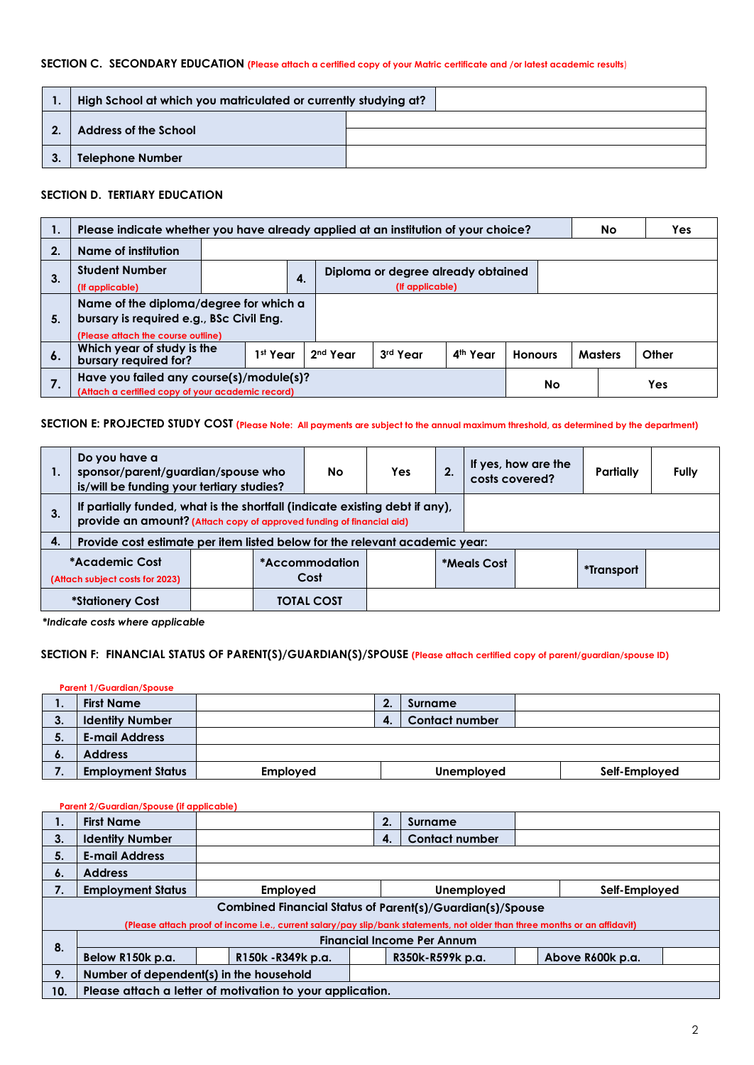#### **SECTION C. SECONDARY EDUCATION (Please attach a certified copy of your Matric certificate and /or latest academic results**)

|    | High School at which you matriculated or currently studying at? |  |
|----|-----------------------------------------------------------------|--|
|    | <b>Address of the School</b>                                    |  |
| 3. | <b>Telephone Number</b>                                         |  |

#### **SECTION D. TERTIARY EDUCATION**

|    | Please indicate whether you have already applied at an institution of your choice?                                          |  |  |    |  |                                    |    |                | <b>No</b>      | <b>Yes</b> |
|----|-----------------------------------------------------------------------------------------------------------------------------|--|--|----|--|------------------------------------|----|----------------|----------------|------------|
| 2. | Name of institution                                                                                                         |  |  |    |  |                                    |    |                |                |            |
| 3. | <b>Student Number</b>                                                                                                       |  |  | 4. |  | Diploma or degree already obtained |    |                |                |            |
|    | (If applicable)                                                                                                             |  |  |    |  | (If applicable)                    |    |                |                |            |
| 5. | Name of the diploma/degree for which a<br>bursary is required e.g., BSc Civil Eng.<br>(Please attach the course outline)    |  |  |    |  |                                    |    |                |                |            |
| 6. | Which year of study is the<br>2 <sup>nd</sup> Year<br>1st Year<br>3rd Year<br>4 <sup>th</sup> Year<br>bursary required for? |  |  |    |  |                                    |    | <b>Honours</b> | <b>Masters</b> | Other      |
|    | Have you failed any course(s)/module(s)?<br>(Attach a certified copy of your academic record)                               |  |  |    |  |                                    | No |                | Yes            |            |

#### **SECTION E: PROJECTED STUDY COST (Please Note: All payments are subject to the annual maximum threshold, as determined by the department)**

| 1. | Do you have a                                                                                                                                        | sponsor/parent/guardian/spouse who<br>is/will be funding your tertiary studies? |  |                        | Yes: | 2. | costs covered? | If yes, how are the | Partially  | Fully |
|----|------------------------------------------------------------------------------------------------------------------------------------------------------|---------------------------------------------------------------------------------|--|------------------------|------|----|----------------|---------------------|------------|-------|
| 3. | If partially funded, what is the shortfall (indicate existing debt if any),<br>provide an amount? (Attach copy of approved funding of financial aid) |                                                                                 |  |                        |      |    |                |                     |            |       |
| 4. | Provide cost estimate per item listed below for the relevant academic year:                                                                          |                                                                                 |  |                        |      |    |                |                     |            |       |
|    | *Academic Cost<br>(Attach subject costs for 2023)                                                                                                    |                                                                                 |  | *Accommodation<br>Cost |      |    | *Meals Cost    |                     | *Transport |       |
|    | <i><b>*Stationery Cost</b></i>                                                                                                                       |                                                                                 |  | <b>TOTAL COST</b>      |      |    |                |                     |            |       |

*\*Indicate costs where applicable*

# **SECTION F: FINANCIAL STATUS OF PARENT(S)/GUARDIAN(S)/SPOUSE (Please attach certified copy of parent/guardian/spouse ID)**

|     | <b>Parent 1/Guardian/Spouse</b> |                 |   |                       |               |  |
|-----|---------------------------------|-----------------|---|-----------------------|---------------|--|
| . . | <b>First Name</b>               |                 |   | Surname               |               |  |
| 3.  | <b>Identity Number</b>          |                 | 4 | <b>Contact number</b> |               |  |
| 5.  | <b>E-mail Address</b>           |                 |   |                       |               |  |
| ο.  | <b>Address</b>                  |                 |   |                       |               |  |
|     | <b>Employment Status</b>        | <b>Employed</b> |   | Unemployed            | Self-Employed |  |

#### **Parent 2/Guardian/Spouse (if applicable)**

| 1.  | <b>First Name</b>                                                |                                                                                                                            | 2.                          | Surname                           |  |  |  |  |  |
|-----|------------------------------------------------------------------|----------------------------------------------------------------------------------------------------------------------------|-----------------------------|-----------------------------------|--|--|--|--|--|
| 3.  | <b>Identity Number</b>                                           |                                                                                                                            | 4.                          | <b>Contact number</b>             |  |  |  |  |  |
| 5.  | <b>E-mail Address</b>                                            |                                                                                                                            |                             |                                   |  |  |  |  |  |
| 6.  | <b>Address</b>                                                   |                                                                                                                            |                             |                                   |  |  |  |  |  |
| 7.  | <b>Employment Status</b>                                         | <b>Employed</b>                                                                                                            | Unemployed<br>Self-Employed |                                   |  |  |  |  |  |
|     | <b>Combined Financial Status of Parent(s)/Guardian(s)/Spouse</b> |                                                                                                                            |                             |                                   |  |  |  |  |  |
|     |                                                                  | (Please attach proof of income i.e., current salary/pay slip/bank statements, not older than three months or an affidavit) |                             |                                   |  |  |  |  |  |
|     |                                                                  |                                                                                                                            |                             | <b>Financial Income Per Annum</b> |  |  |  |  |  |
| 8.  | Below R150k p.a.                                                 | R150k - R349k p.a.<br>Above R600k p.a.<br>R350k-R599k p.a.                                                                 |                             |                                   |  |  |  |  |  |
| 9.  | Number of dependent(s) in the household                          |                                                                                                                            |                             |                                   |  |  |  |  |  |
| 10. | Please attach a letter of motivation to your application.        |                                                                                                                            |                             |                                   |  |  |  |  |  |